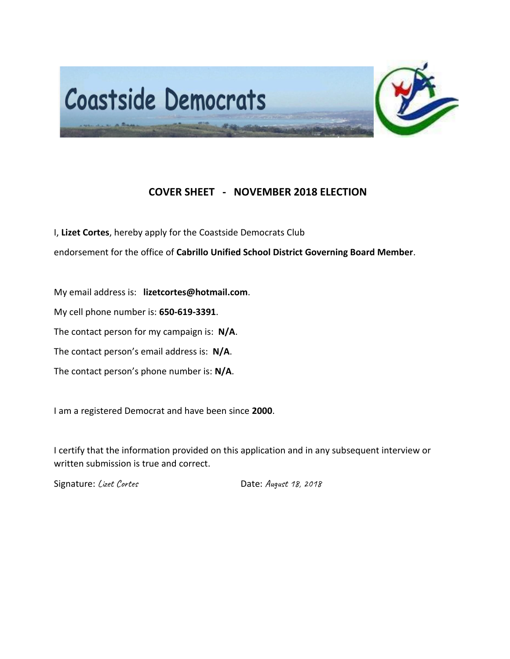

## **COVER SHEET - NOVEMBER 2018 ELECTION**

I, **Lizet Cortes**, hereby apply for the Coastside Democrats Club

endorsement for the office of **Cabrillo Unified School District Governing Board Member**.

My email address is: **lizetcortes@hotmail.com**.

My cell phone number is: **650-619-3391**.

The contact person for my campaign is: **N/A**.

The contact person's email address is: **N/A**.

The contact person's phone number is: **N/A**.

I am a registered Democrat and have been since **2000**.

I certify that the information provided on this application and in any subsequent interview or written submission is true and correct.

Signature: Lizet Cortes Cortes Communications Date: August 18, 2018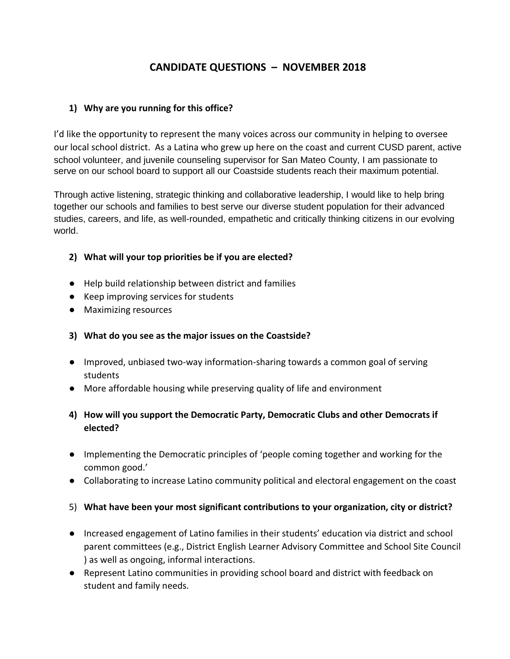# **CANDIDATE QUESTIONS – NOVEMBER 2018**

#### **1) Why are you running for this office?**

I'd like the opportunity to represent the many voices across our community in helping to oversee our local school district. As a Latina who grew up here on the coast and current CUSD parent, active school volunteer, and juvenile counseling supervisor for San Mateo County, I am passionate to serve on our school board to support all our Coastside students reach their maximum potential.

Through active listening, strategic thinking and collaborative leadership, I would like to help bring together our schools and families to best serve our diverse student population for their advanced studies, careers, and life, as well-rounded, empathetic and critically thinking citizens in our evolving world.

### **2) What will your top priorities be if you are elected?**

- Help build relationship between district and families
- Keep improving services for students
- Maximizing resources

#### **3) What do you see as the major issues on the Coastside?**

- Improved, unbiased two-way information-sharing towards a common goal of serving students
- More affordable housing while preserving quality of life and environment

## **4) How will you support the Democratic Party, Democratic Clubs and other Democrats if elected?**

- Implementing the Democratic principles of 'people coming together and working for the common good.'
- Collaborating to increase Latino community political and electoral engagement on the coast

#### 5) **What have been your most significant contributions to your organization, city or district?**

- Increased engagement of Latino families in their students' education via district and school parent committees (e.g., District English Learner Advisory Committee and School Site Council ) as well as ongoing, informal interactions.
- Represent Latino communities in providing school board and district with feedback on student and family needs.